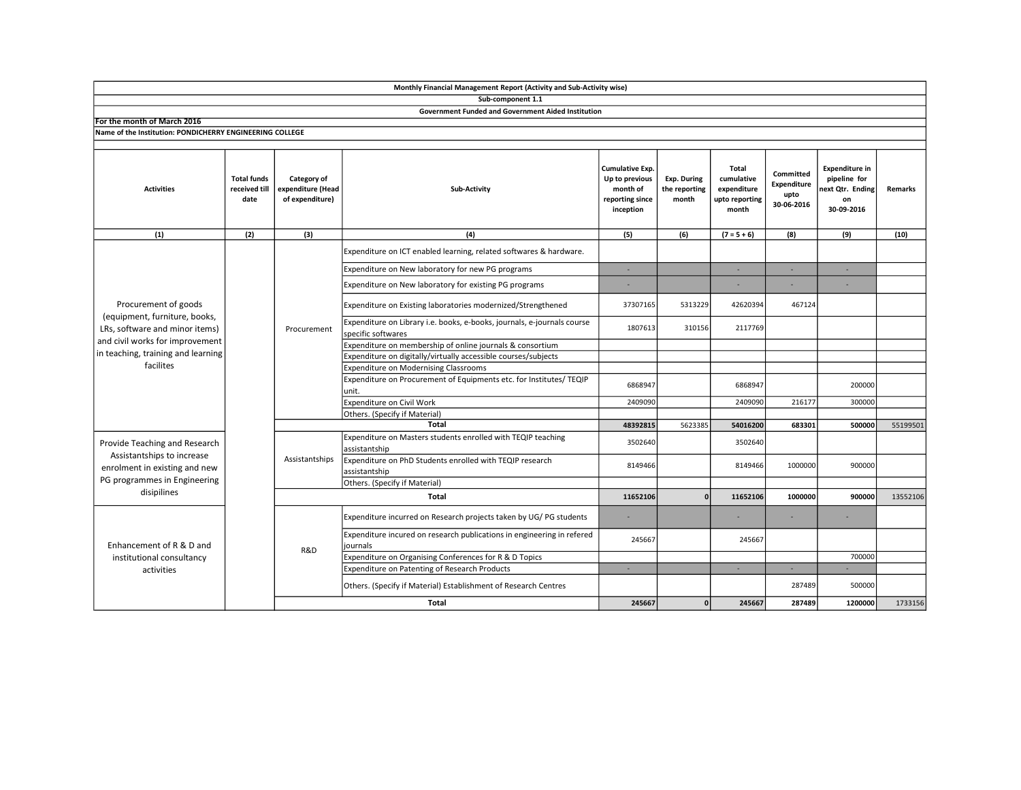|                                                                                                                                             |                                             |                                                     | Sub-component 1.1                                                                             |                                                                               |                                       |                                                                      |                                                |                                                                              |          |
|---------------------------------------------------------------------------------------------------------------------------------------------|---------------------------------------------|-----------------------------------------------------|-----------------------------------------------------------------------------------------------|-------------------------------------------------------------------------------|---------------------------------------|----------------------------------------------------------------------|------------------------------------------------|------------------------------------------------------------------------------|----------|
|                                                                                                                                             |                                             |                                                     | <b>Government Funded and Government Aided Institution</b>                                     |                                                                               |                                       |                                                                      |                                                |                                                                              |          |
| For the month of March 2016                                                                                                                 |                                             |                                                     |                                                                                               |                                                                               |                                       |                                                                      |                                                |                                                                              |          |
| Name of the Institution: PONDICHERRY ENGINEERING COLLEGE                                                                                    |                                             |                                                     |                                                                                               |                                                                               |                                       |                                                                      |                                                |                                                                              |          |
|                                                                                                                                             |                                             |                                                     |                                                                                               |                                                                               |                                       |                                                                      |                                                |                                                                              |          |
| <b>Activities</b>                                                                                                                           | <b>Total funds</b><br>received till<br>date | Category of<br>expenditure (Head<br>of expenditure) | <b>Sub-Activity</b>                                                                           | Cumulative Exp.<br>Up to previous<br>month of<br>reporting since<br>inception | Exp. During<br>the reporting<br>month | <b>Total</b><br>cumulative<br>expenditure<br>upto reporting<br>month | Committed<br>Expenditure<br>upto<br>30-06-2016 | <b>Expenditure in</b><br>pipeline for<br>ext Qtr. Ending<br>on<br>30-09-2016 | Remarks  |
| (1)                                                                                                                                         | (2)                                         | (3)                                                 | (4)                                                                                           | (5)                                                                           | (6)                                   | $(7 = 5 + 6)$                                                        | (8)                                            | (9)                                                                          | (10)     |
| Procurement of goods<br>(equipment, furniture, books,<br>LRs, software and minor items)                                                     |                                             | Procurement                                         | Expenditure on ICT enabled learning, related softwares & hardware.                            |                                                                               |                                       |                                                                      |                                                |                                                                              |          |
|                                                                                                                                             |                                             |                                                     | Expenditure on New laboratory for new PG programs                                             | ×.                                                                            |                                       | ×.                                                                   | ÷.                                             | . п.                                                                         |          |
|                                                                                                                                             |                                             |                                                     | Expenditure on New laboratory for existing PG programs                                        |                                                                               |                                       |                                                                      |                                                |                                                                              |          |
|                                                                                                                                             |                                             |                                                     | Expenditure on Existing laboratories modernized/Strengthened                                  | 37307165                                                                      | 5313229                               | 42620394                                                             | 467124                                         |                                                                              |          |
|                                                                                                                                             |                                             |                                                     | Expenditure on Library i.e. books, e-books, journals, e-journals course<br>specific softwares | 1807613                                                                       | 310156                                | 2117769                                                              |                                                |                                                                              |          |
| and civil works for improvement                                                                                                             |                                             |                                                     | Expenditure on membership of online journals & consortium                                     |                                                                               |                                       |                                                                      |                                                |                                                                              |          |
| in teaching, training and learning<br>facilites                                                                                             |                                             |                                                     | Expenditure on digitally/virtually accessible courses/subjects                                |                                                                               |                                       |                                                                      |                                                |                                                                              |          |
|                                                                                                                                             |                                             |                                                     | Expenditure on Modernising Classrooms                                                         |                                                                               |                                       |                                                                      |                                                |                                                                              |          |
|                                                                                                                                             |                                             |                                                     | Expenditure on Procurement of Equipments etc. for Institutes/ TEQIP<br>unit.                  | 6868947                                                                       |                                       | 6868947                                                              |                                                | 200000                                                                       |          |
|                                                                                                                                             |                                             |                                                     | Expenditure on Civil Work                                                                     | 2409090                                                                       |                                       | 2409090                                                              | 216177                                         | 300000                                                                       |          |
|                                                                                                                                             |                                             |                                                     | Others. (Specify if Material)                                                                 |                                                                               |                                       |                                                                      |                                                |                                                                              |          |
|                                                                                                                                             |                                             |                                                     | <b>Total</b>                                                                                  | 48392815                                                                      | 5623385                               | 54016200                                                             | 683301                                         | 500000                                                                       | 55199501 |
| Provide Teaching and Research<br>Assistantships to increase<br>enrolment in existing and new<br>PG programmes in Engineering<br>disipilines |                                             | Assistantships                                      | Expenditure on Masters students enrolled with TEQIP teaching<br>assistantship                 | 3502640                                                                       |                                       | 3502640                                                              |                                                |                                                                              |          |
|                                                                                                                                             |                                             |                                                     | Expenditure on PhD Students enrolled with TEQIP research<br>assistantship                     | 8149466                                                                       |                                       | 8149466                                                              | 1000000                                        | 900000                                                                       |          |
|                                                                                                                                             |                                             |                                                     | Others. (Specify if Material)                                                                 |                                                                               |                                       |                                                                      |                                                |                                                                              |          |
|                                                                                                                                             |                                             | <b>Total</b>                                        |                                                                                               |                                                                               | $\mathbf{0}$                          | 11652106                                                             | 1000000                                        | 900000                                                                       | 13552106 |
| Enhancement of R & D and<br>institutional consultancy<br>activities                                                                         |                                             | R&D                                                 | Expenditure incurred on Research projects taken by UG/PG students                             | ٠                                                                             |                                       |                                                                      |                                                |                                                                              |          |
|                                                                                                                                             |                                             |                                                     | Expenditure incured on research publications in engineering in refered<br>journals            | 245667                                                                        |                                       | 245667                                                               |                                                |                                                                              |          |
|                                                                                                                                             |                                             |                                                     | Expenditure on Organising Conferences for R & D Topics                                        |                                                                               |                                       |                                                                      |                                                | 700000                                                                       |          |
|                                                                                                                                             |                                             |                                                     | Expenditure on Patenting of Research Products                                                 | ٠                                                                             |                                       |                                                                      | п.                                             |                                                                              |          |
|                                                                                                                                             |                                             |                                                     | Others. (Specify if Material) Establishment of Research Centres                               |                                                                               |                                       |                                                                      | 287489                                         | 500000                                                                       |          |
|                                                                                                                                             |                                             |                                                     | <b>Total</b>                                                                                  | 245667                                                                        | $\mathbf{0}$                          | 245667                                                               | 287489                                         | 1200000                                                                      | 1733156  |

Monthly Financial Management Report (Activity and Sub-Activity wise)